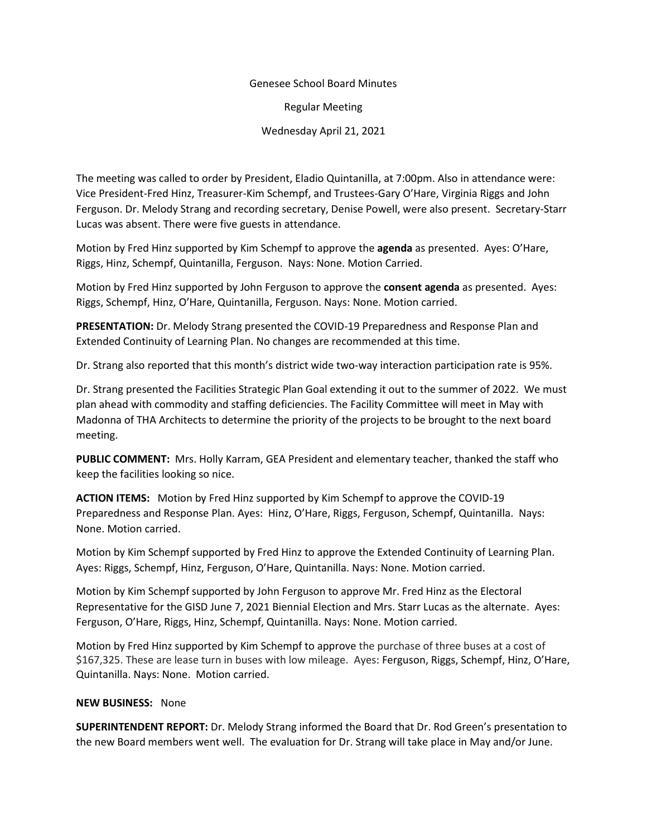## Genesee School Board Minutes

Regular Meeting

Wednesday April 21, 2021

The meeting was called to order by President, Eladio Quintanilla, at 7:00pm. Also in attendance were: Vice President-Fred Hinz, Treasurer-Kim Schempf, and Trustees-Gary O'Hare, Virginia Riggs and John Ferguson. Dr. Melody Strang and recording secretary, Denise Powell, were also present. Secretary-Starr Lucas was absent. There were five guests in attendance.

Motion by Fred Hinz supported by Kim Schempf to approve the **agenda** as presented. Ayes: O'Hare, Riggs, Hinz, Schempf, Quintanilla, Ferguson. Nays: None. Motion Carried.

Motion by Fred Hinz supported by John Ferguson to approve the **consent agenda** as presented. Ayes: Riggs, Schempf, Hinz, O'Hare, Quintanilla, Ferguson. Nays: None. Motion carried.

**PRESENTATION:** Dr. Melody Strang presented the COVID-19 Preparedness and Response Plan and Extended Continuity of Learning Plan. No changes are recommended at this time.

Dr. Strang also reported that this month's district wide two-way interaction participation rate is 95%.

Dr. Strang presented the Facilities Strategic Plan Goal extending it out to the summer of 2022. We must plan ahead with commodity and staffing deficiencies. The Facility Committee will meet in May with Madonna of THA Architects to determine the priority of the projects to be brought to the next board meeting.

**PUBLIC COMMENT:** Mrs. Holly Karram, GEA President and elementary teacher, thanked the staff who keep the facilities looking so nice.

**ACTION ITEMS:** Motion by Fred Hinz supported by Kim Schempf to approve the COVID-19 Preparedness and Response Plan. Ayes: Hinz, O'Hare, Riggs, Ferguson, Schempf, Quintanilla. Nays: None. Motion carried.

Motion by Kim Schempf supported by Fred Hinz to approve the Extended Continuity of Learning Plan. Ayes: Riggs, Schempf, Hinz, Ferguson, O'Hare, Quintanilla. Nays: None. Motion carried.

Motion by Kim Schempf supported by John Ferguson to approve Mr. Fred Hinz as the Electoral Representative for the GISD June 7, 2021 Biennial Election and Mrs. Starr Lucas as the alternate. Ayes: Ferguson, O'Hare, Riggs, Hinz, Schempf, Quintanilla. Nays: None. Motion carried.

Motion by Fred Hinz supported by Kim Schempf to approve the purchase of three buses at a cost of \$167,325. These are lease turn in buses with low mileage. Ayes: Ferguson, Riggs, Schempf, Hinz, O'Hare, Quintanilla. Nays: None. Motion carried.

## **NEW BUSINESS:** None

**SUPERINTENDENT REPORT:** Dr. Melody Strang informed the Board that Dr. Rod Green's presentation to the new Board members went well. The evaluation for Dr. Strang will take place in May and/or June.